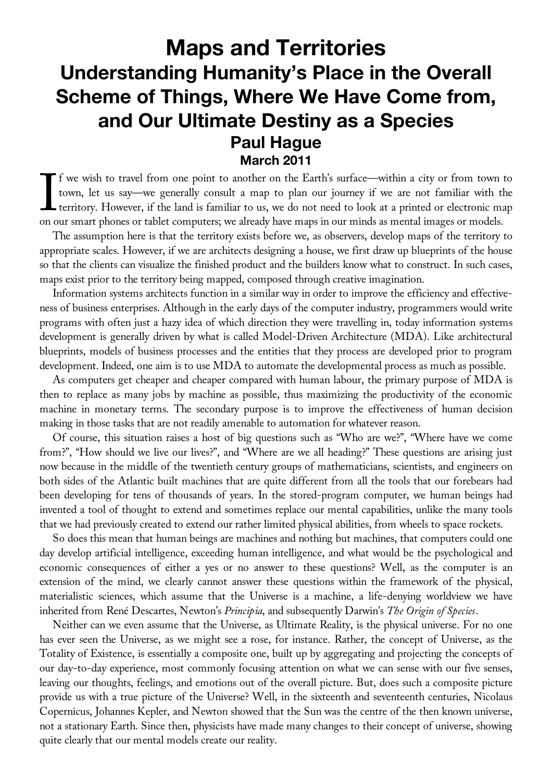## **Maps and Territories Understanding Humanity's Place in the Overall Scheme of Things, Where We Have Come from, and Our Ultimate Destiny as a Species Paul Hague March 2011**

f we wish to travel from one point to another on the Earth's surface—within a city or from town to town, let us say—we generally consult a map to plan our journey if we are not familiar with the territory. However, if the land is familiar to us, we do not need to look at a printed or electronic map on our smart phones or tablet computers; we already have maps in our minds as mental images or models.  $\prod$ 

The assumption here is that the territory exists before we, as observers, develop maps of the territory to appropriate scales. However, if we are architects designing a house, we first draw up blueprints of the house so that the clients can visualize the finished product and the builders know what to construct. In such cases, maps exist prior to the territory being mapped, composed through creative imagination.

Information systems architects function in a similar way in order to improve the efficiency and effectiveness of business enterprises. Although in the early days of the computer industry, programmers would write programs with often just a hazy idea of which direction they were travelling in, today information systems development is generally driven by what is called Model-Driven Architecture (MDA). Like architectural blueprints, models of business processes and the entities that they process are developed prior to program development. Indeed, one aim is to use MDA to automate the developmental process as much as possible.

As computers get cheaper and cheaper compared with human labour, the primary purpose of MDA is then to replace as many jobs by machine as possible, thus maximizing the productivity of the economic machine in monetary terms. The secondary purpose is to improve the effectiveness of human decision making in those tasks that are not readily amenable to automation for whatever reason.

Of course, this situation raises a host of big questions such as "Who are we?", "Where have we come from?", "How should we live our lives?", and "Where are we all heading?" These questions are arising just now because in the middle of the twentieth century groups of mathematicians, scientists, and engineers on both sides of the Atlantic built machines that are quite different from all the tools that our forebears had been developing for tens of thousands of years. In the stored-program computer, we human beings had invented a tool of thought to extend and sometimes replace our mental capabilities, unlike the many tools that we had previously created to extend our rather limited physical abilities, from wheels to space rockets.

So does this mean that human beings are machines and nothing but machines, that computers could one day develop artificial intelligence, exceeding human intelligence, and what would be the psychological and economic consequences of either a yes or no answer to these questions? Well, as the computer is an extension of the mind, we clearly cannot answer these questions within the framework of the physical, materialistic sciences, which assume that the Universe is a machine, a life-denying worldview we have inherited from René Descartes, Newton's *Principia*, and subsequently Darwin's *The Origin of Species*.

Neither can we even assume that the Universe, as Ultimate Reality, is the physical universe. For no one has ever seen the Universe, as we might see a rose, for instance. Rather, the concept of Universe, as the Totality of Existence, is essentially a composite one, built up by aggregating and projecting the concepts of our day-to-day experience, most commonly focusing attention on what we can sense with our five senses, leaving our thoughts, feelings, and emotions out of the overall picture. But, does such a composite picture provide us with a true picture of the Universe? Well, in the sixteenth and seventeenth centuries, Nicolaus Copernicus, Johannes Kepler, and Newton showed that the Sun was the centre of the then known universe, not a stationary Earth. Since then, physicists have made many changes to their concept of universe, showing quite clearly that our mental models create our reality.